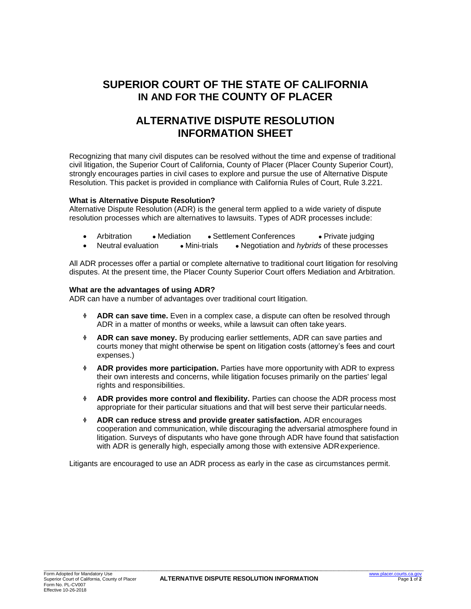# **SUPERIOR COURT OF THE STATE OF CALIFORNIA IN AND FOR THE COUNTY OF PLACER**

## **ALTERNATIVE DISPUTE RESOLUTION INFORMATION SHEET**

Recognizing that many civil disputes can be resolved without the time and expense of traditional civil litigation, the Superior Court of California, County of Placer (Placer County Superior Court), strongly encourages parties in civil cases to explore and pursue the use of Alternative Dispute Resolution. This packet is provided in compliance with California Rules of Court, Rule 3.221.

## **What is Alternative Dispute Resolution?**

Alternative Dispute Resolution (ADR) is the general term applied to a wide variety of dispute resolution processes which are alternatives to lawsuits. Types of ADR processes include:

|  | Arbitration | $\bullet$ Mediation | • Settlement Conferences | • Private judging |
|--|-------------|---------------------|--------------------------|-------------------|
|--|-------------|---------------------|--------------------------|-------------------|

Neutral evaluation ● Mini-trials **●** Negotiation and *hybrids* of these processes

All ADR processes offer a partial or complete alternative to traditional court litigation for resolving disputes. At the present time, the Placer County Superior Court offers Mediation and Arbitration.

## **What are the advantages of using ADR?**

ADR can have a number of advantages over traditional court litigation.

- ❖ **ADR can save time.** Even in a complex case, a dispute can often be resolved through ADR in a matter of months or weeks, while a lawsuit can often take years.
- ❖ **ADR can save money.** By producing earlier settlements, ADR can save parties and courts money that might otherwise be spent on litigation costs (attorney's fees and court expenses.)
- ❖ **ADR provides more participation.** Parties have more opportunity with ADR to express their own interests and concerns, while litigation focuses primarily on the parties' legal rights and responsibilities.
- ❖ **ADR provides more control and flexibility.** Parties can choose the ADR process most appropriate for their particular situations and that will best serve their particular needs.
- ❖ **ADR can reduce stress and provide greater satisfaction.** ADR encourages cooperation and communication, while discouraging the adversarial atmosphere found in litigation. Surveys of disputants who have gone through ADR have found that satisfaction with ADR is generally high, especially among those with extensive ADR experience.

Litigants are encouraged to use an ADR process as early in the case as circumstances permit.